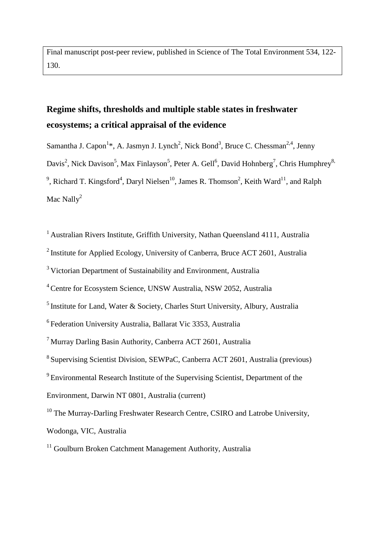Final manuscript post-peer review, published in Science of The Total Environment 534, 122- 130.

# **Regime shifts, thresholds and multiple stable states in freshwater ecosystems; a critical appraisal of the evidence**

Samantha J. Capon<sup>1</sup>\*, A. Jasmyn J. Lynch<sup>2</sup>, Nick Bond<sup>3</sup>, Bruce C. Chessman<sup>2,4</sup>, Jenny Davis<sup>2</sup>, Nick Davison<sup>5</sup>, Max Finlayson<sup>5</sup>, Peter A. Gell<sup>6</sup>, David Hohnberg<sup>7</sup>, Chris Humphrey<sup>8,</sup> <sup>9</sup>, Richard T. Kingsford<sup>4</sup>, Daryl Nielsen<sup>10</sup>, James R. Thomson<sup>2</sup>, Keith Ward<sup>11</sup>, and Ralph Mac Nally<sup>2</sup>

<sup>1</sup> Australian Rivers Institute, Griffith University, Nathan Queensland 4111, Australia

2 Institute for Applied Ecology, University of Canberra, Bruce ACT 2601, Australia

<sup>3</sup> Victorian Department of Sustainability and Environment, Australia

4 Centre for Ecosystem Science, UNSW Australia, NSW 2052, Australia

 $<sup>5</sup>$  Institute for Land, Water & Society, Charles Sturt University, Albury, Australia</sup>

<sup>6</sup> Federation University Australia, Ballarat Vic 3353, Australia

<sup>8</sup> Supervising Scientist Division, SEWPaC, Canberra ACT 2601, Australia (previous) <sup>9</sup> Environmental Research Institute of the Supervising Scientist, Department of the Environment, Darwin NT 0801, Australia (current)

<sup>10</sup> The Murray-Darling Freshwater Research Centre, CSIRO and Latrobe University, Wodonga, VIC, Australia

 $11$  Goulburn Broken Catchment Management Authority, Australia

<sup>7</sup> Murray Darling Basin Authority, Canberra ACT 2601, Australia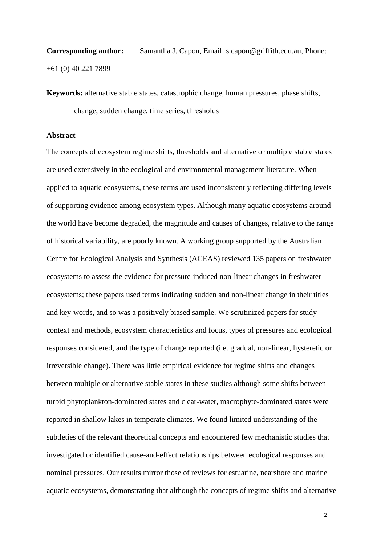**Corresponding author:** Samantha J. Capon, Email: s.capon@griffith.edu.au, Phone: +61 (0) 40 221 7899

**Keywords:** alternative stable states, catastrophic change, human pressures, phase shifts, change, sudden change, time series, thresholds

#### **Abstract**

The concepts of ecosystem regime shifts, thresholds and alternative or multiple stable states are used extensively in the ecological and environmental management literature. When applied to aquatic ecosystems, these terms are used inconsistently reflecting differing levels of supporting evidence among ecosystem types. Although many aquatic ecosystems around the world have become degraded, the magnitude and causes of changes, relative to the range of historical variability, are poorly known. A working group supported by the Australian Centre for Ecological Analysis and Synthesis (ACEAS) reviewed 135 papers on freshwater ecosystems to assess the evidence for pressure-induced non-linear changes in freshwater ecosystems; these papers used terms indicating sudden and non-linear change in their titles and key-words, and so was a positively biased sample. We scrutinized papers for study context and methods, ecosystem characteristics and focus, types of pressures and ecological responses considered, and the type of change reported (i.e. gradual, non-linear, hysteretic or irreversible change). There was little empirical evidence for regime shifts and changes between multiple or alternative stable states in these studies although some shifts between turbid phytoplankton-dominated states and clear-water, macrophyte-dominated states were reported in shallow lakes in temperate climates. We found limited understanding of the subtleties of the relevant theoretical concepts and encountered few mechanistic studies that investigated or identified cause-and-effect relationships between ecological responses and nominal pressures. Our results mirror those of reviews for estuarine, nearshore and marine aquatic ecosystems, demonstrating that although the concepts of regime shifts and alternative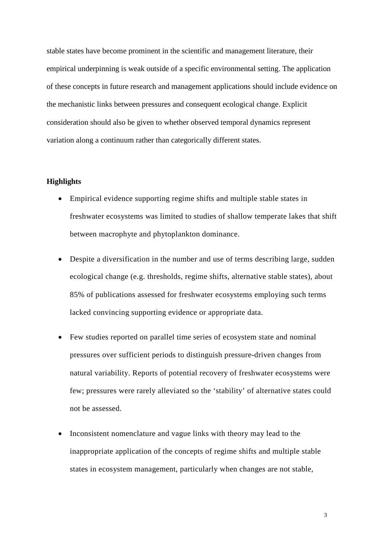stable states have become prominent in the scientific and management literature, their empirical underpinning is weak outside of a specific environmental setting. The application of these concepts in future research and management applications should include evidence on the mechanistic links between pressures and consequent ecological change. Explicit consideration should also be given to whether observed temporal dynamics represent variation along a continuum rather than categorically different states.

## **Highlights**

- Empirical evidence supporting regime shifts and multiple stable states in freshwater ecosystems was limited to studies of shallow temperate lakes that shift between macrophyte and phytoplankton dominance.
- Despite a diversification in the number and use of terms describing large, sudden ecological change (e.g. thresholds, regime shifts, alternative stable states), about 85% of publications assessed for freshwater ecosystems employing such terms lacked convincing supporting evidence or appropriate data.
- Few studies reported on parallel time series of ecosystem state and nominal pressures over sufficient periods to distinguish pressure-driven changes from natural variability. Reports of potential recovery of freshwater ecosystems were few; pressures were rarely alleviated so the 'stability' of alternative states could not be assessed.
- Inconsistent nomenclature and vague links with theory may lead to the inappropriate application of the concepts of regime shifts and multiple stable states in ecosystem management, particularly when changes are not stable,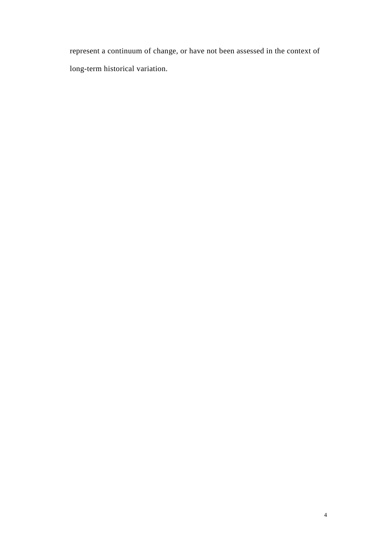represent a continuum of change, or have not been assessed in the context of long-term historical variation.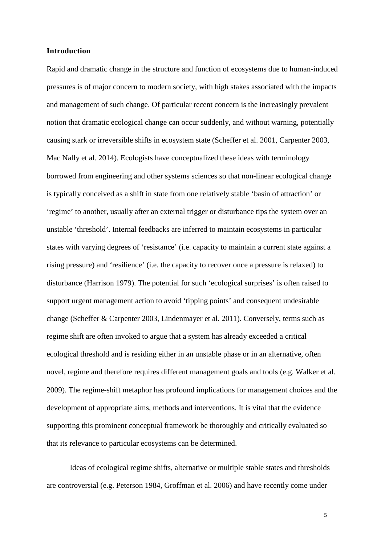#### **Introduction**

Rapid and dramatic change in the structure and function of ecosystems due to human-induced pressures is of major concern to modern society, with high stakes associated with the impacts and management of such change. Of particular recent concern is the increasingly prevalent notion that dramatic ecological change can occur suddenly, and without warning, potentially causing stark or irreversible shifts in ecosystem state (Scheffer et al. 2001, Carpenter 2003, Mac Nally et al. 2014). Ecologists have conceptualized these ideas with terminology borrowed from engineering and other systems sciences so that non-linear ecological change is typically conceived as a shift in state from one relatively stable 'basin of attraction' or 'regime' to another, usually after an external trigger or disturbance tips the system over an unstable 'threshold'. Internal feedbacks are inferred to maintain ecosystems in particular states with varying degrees of 'resistance' (i.e. capacity to maintain a current state against a rising pressure) and 'resilience' (i.e. the capacity to recover once a pressure is relaxed) to disturbance (Harrison 1979). The potential for such 'ecological surprises' is often raised to support urgent management action to avoid 'tipping points' and consequent undesirable change (Scheffer & Carpenter 2003, Lindenmayer et al. 2011). Conversely, terms such as regime shift are often invoked to argue that a system has already exceeded a critical ecological threshold and is residing either in an unstable phase or in an alternative, often novel, regime and therefore requires different management goals and tools (e.g. Walker et al. 2009). The regime-shift metaphor has profound implications for management choices and the development of appropriate aims, methods and interventions. It is vital that the evidence supporting this prominent conceptual framework be thoroughly and critically evaluated so that its relevance to particular ecosystems can be determined.

Ideas of ecological regime shifts, alternative or multiple stable states and thresholds are controversial (e.g. Peterson 1984, Groffman et al. 2006) and have recently come under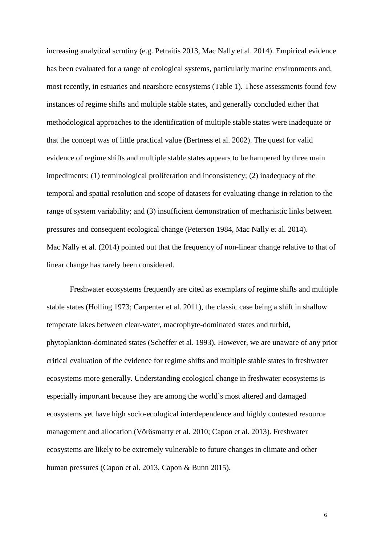increasing analytical scrutiny (e.g. Petraitis 2013, Mac Nally et al. 2014). Empirical evidence has been evaluated for a range of ecological systems, particularly marine environments and, most recently, in estuaries and nearshore ecosystems (Table 1). These assessments found few instances of regime shifts and multiple stable states, and generally concluded either that methodological approaches to the identification of multiple stable states were inadequate or that the concept was of little practical value (Bertness et al. 2002). The quest for valid evidence of regime shifts and multiple stable states appears to be hampered by three main impediments: (1) terminological proliferation and inconsistency; (2) inadequacy of the temporal and spatial resolution and scope of datasets for evaluating change in relation to the range of system variability; and (3) insufficient demonstration of mechanistic links between pressures and consequent ecological change (Peterson 1984, Mac Nally et al. 2014). Mac Nally et al. (2014) pointed out that the frequency of non-linear change relative to that of linear change has rarely been considered.

Freshwater ecosystems frequently are cited as exemplars of regime shifts and multiple stable states (Holling 1973; Carpenter et al. 2011), the classic case being a shift in shallow temperate lakes between clear-water, macrophyte-dominated states and turbid, phytoplankton-dominated states (Scheffer et al. 1993). However, we are unaware of any prior critical evaluation of the evidence for regime shifts and multiple stable states in freshwater ecosystems more generally. Understanding ecological change in freshwater ecosystems is especially important because they are among the world's most altered and damaged ecosystems yet have high socio-ecological interdependence and highly contested resource management and allocation (Vörösmarty et al. 2010; Capon et al. 2013). Freshwater ecosystems are likely to be extremely vulnerable to future changes in climate and other human pressures (Capon et al. 2013, Capon & Bunn 2015).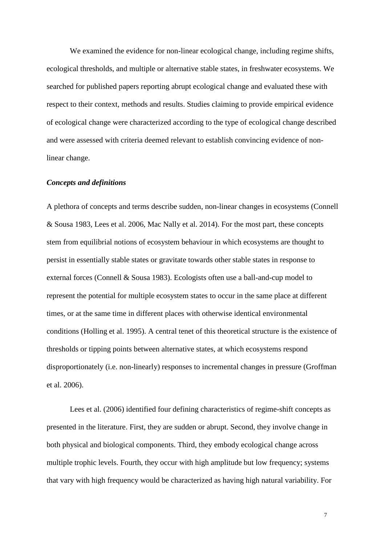We examined the evidence for non-linear ecological change, including regime shifts, ecological thresholds, and multiple or alternative stable states, in freshwater ecosystems. We searched for published papers reporting abrupt ecological change and evaluated these with respect to their context, methods and results. Studies claiming to provide empirical evidence of ecological change were characterized according to the type of ecological change described and were assessed with criteria deemed relevant to establish convincing evidence of nonlinear change.

### *Concepts and definitions*

A plethora of concepts and terms describe sudden, non-linear changes in ecosystems (Connell & Sousa 1983, Lees et al. 2006, Mac Nally et al. 2014). For the most part, these concepts stem from equilibrial notions of ecosystem behaviour in which ecosystems are thought to persist in essentially stable states or gravitate towards other stable states in response to external forces (Connell & Sousa 1983). Ecologists often use a ball-and-cup model to represent the potential for multiple ecosystem states to occur in the same place at different times, or at the same time in different places with otherwise identical environmental conditions (Holling et al. 1995). A central tenet of this theoretical structure is the existence of thresholds or tipping points between alternative states, at which ecosystems respond disproportionately (i.e. non-linearly) responses to incremental changes in pressure (Groffman et al. 2006).

Lees et al. (2006) identified four defining characteristics of regime-shift concepts as presented in the literature. First, they are sudden or abrupt. Second, they involve change in both physical and biological components. Third, they embody ecological change across multiple trophic levels. Fourth, they occur with high amplitude but low frequency; systems that vary with high frequency would be characterized as having high natural variability. For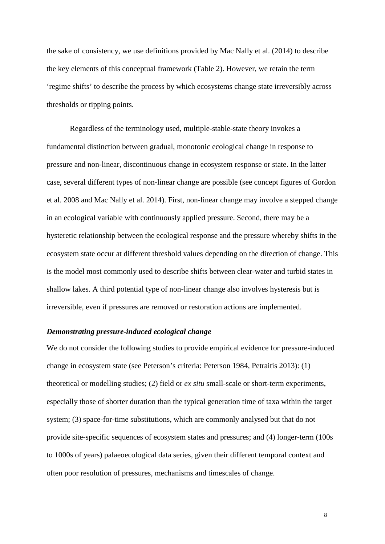the sake of consistency, we use definitions provided by Mac Nally et al. (2014) to describe the key elements of this conceptual framework (Table 2). However, we retain the term 'regime shifts' to describe the process by which ecosystems change state irreversibly across thresholds or tipping points.

Regardless of the terminology used, multiple-stable-state theory invokes a fundamental distinction between gradual, monotonic ecological change in response to pressure and non-linear, discontinuous change in ecosystem response or state. In the latter case, several different types of non-linear change are possible (see concept figures of Gordon et al. 2008 and Mac Nally et al. 2014). First, non-linear change may involve a stepped change in an ecological variable with continuously applied pressure. Second, there may be a hysteretic relationship between the ecological response and the pressure whereby shifts in the ecosystem state occur at different threshold values depending on the direction of change. This is the model most commonly used to describe shifts between clear-water and turbid states in shallow lakes. A third potential type of non-linear change also involves hysteresis but is irreversible, even if pressures are removed or restoration actions are implemented.

## *Demonstrating pressure-induced ecological change*

We do not consider the following studies to provide empirical evidence for pressure-induced change in ecosystem state (see Peterson's criteria: Peterson 1984, Petraitis 2013): (1) theoretical or modelling studies; (2) field or *ex situ* small-scale or short-term experiments, especially those of shorter duration than the typical generation time of taxa within the target system; (3) space-for-time substitutions, which are commonly analysed but that do not provide site-specific sequences of ecosystem states and pressures; and (4) longer-term (100s to 1000s of years) palaeoecological data series, given their different temporal context and often poor resolution of pressures, mechanisms and timescales of change.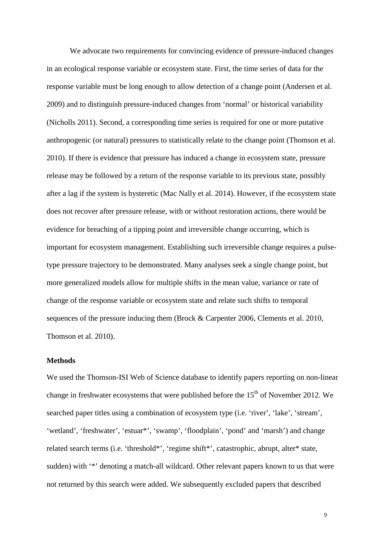We advocate two requirements for convincing evidence of pressure-induced changes in an ecological response variable or ecosystem state. First, the time series of data for the response variable must be long enough to allow detection of a change point (Andersen et al. 2009) and to distinguish pressure-induced changes from 'normal' or historical variability (Nicholls 2011). Second, a corresponding time series is required for one or more putative anthropogenic (or natural) pressures to statistically relate to the change point (Thomson et al. 2010). If there is evidence that pressure has induced a change in ecosystem state, pressure release may be followed by a return of the response variable to its previous state, possibly after a lag if the system is hysteretic (Mac Nally et al. 2014). However, if the ecosystem state does not recover after pressure release, with or without restoration actions, there would be evidence for breaching of a tipping point and irreversible change occurring, which is important for ecosystem management. Establishing such irreversible change requires a pulsetype pressure trajectory to be demonstrated. Many analyses seek a single change point, but more generalized models allow for multiple shifts in the mean value, variance or rate of change of the response variable or ecosystem state and relate such shifts to temporal sequences of the pressure inducing them (Brock & Carpenter 2006, [Clements](#page-21-0) et al. 2010, Thomson et al. 2010).

#### **Methods**

We used the Thomson-ISI Web of Science database to identify papers reporting on non-linear change in freshwater ecosystems that were published before the  $15<sup>th</sup>$  of November 2012. We searched paper titles using a combination of ecosystem type (i.e. 'river', 'lake', 'stream', 'wetland', 'freshwater', 'estuar\*', 'swamp', 'floodplain', 'pond' and 'marsh') and change related search terms (i.e. 'threshold\*', 'regime shift\*', catastrophic, abrupt, alter\* state, sudden) with '\*' denoting a match-all wildcard. Other relevant papers known to us that were not returned by this search were added. We subsequently excluded papers that described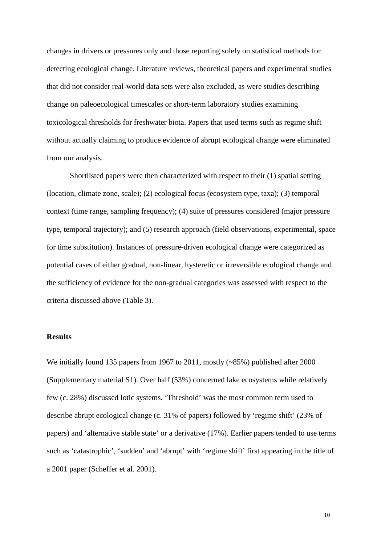changes in drivers or pressures only and those reporting solely on statistical methods for detecting ecological change. Literature reviews, theoretical papers and experimental studies that did not consider real-world data sets were also excluded, as were studies describing change on paleoecological timescales or short-term laboratory studies examining toxicological thresholds for freshwater biota. Papers that used terms such as regime shift without actually claiming to produce evidence of abrupt ecological change were eliminated from our analysis.

Shortlisted papers were then characterized with respect to their (1) spatial setting (location, climate zone, scale); (2) ecological focus (ecosystem type, taxa); (3) temporal context (time range, sampling frequency); (4) suite of pressures considered (major pressure type, temporal trajectory); and (5) research approach (field observations, experimental, space for time substitution). Instances of pressure-driven ecological change were categorized as potential cases of either gradual, non-linear, hysteretic or irreversible ecological change and the sufficiency of evidence for the non-gradual categories was assessed with respect to the criteria discussed above (Table 3).

## **Results**

We initially found 135 papers from 1967 to 2011, mostly (~85%) published after 2000 (Supplementary material S1). Over half (53%) concerned lake ecosystems while relatively few (c. 28%) discussed lotic systems. 'Threshold' was the most common term used to describe abrupt ecological change (c. 31% of papers) followed by 'regime shift' (23% of papers) and 'alternative stable state' or a derivative (17%). Earlier papers tended to use terms such as 'catastrophic', 'sudden' and 'abrupt' with 'regime shift' first appearing in the title of a 2001 paper (Scheffer et al. 2001).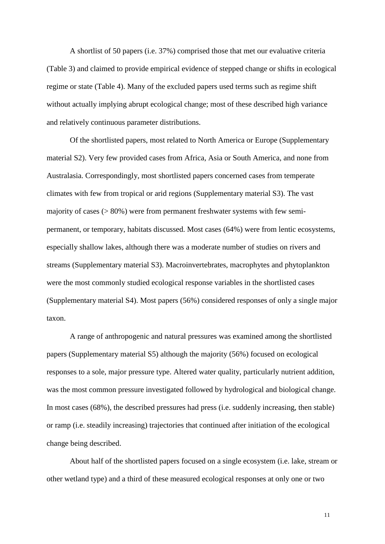A shortlist of 50 papers (i.e. 37%) comprised those that met our evaluative criteria (Table 3) and claimed to provide empirical evidence of stepped change or shifts in ecological regime or state (Table 4). Many of the excluded papers used terms such as regime shift without actually implying abrupt ecological change; most of these described high variance and relatively continuous parameter distributions.

Of the shortlisted papers, most related to North America or Europe (Supplementary material S2). Very few provided cases from Africa, Asia or South America, and none from Australasia. Correspondingly, most shortlisted papers concerned cases from temperate climates with few from tropical or arid regions (Supplementary material S3). The vast majority of cases  $(> 80\%)$  were from permanent freshwater systems with few semipermanent, or temporary, habitats discussed. Most cases (64%) were from lentic ecosystems, especially shallow lakes, although there was a moderate number of studies on rivers and streams (Supplementary material S3). Macroinvertebrates, macrophytes and phytoplankton were the most commonly studied ecological response variables in the shortlisted cases (Supplementary material S4). Most papers (56%) considered responses of only a single major taxon.

A range of anthropogenic and natural pressures was examined among the shortlisted papers (Supplementary material S5) although the majority (56%) focused on ecological responses to a sole, major pressure type. Altered water quality, particularly nutrient addition, was the most common pressure investigated followed by hydrological and biological change. In most cases (68%), the described pressures had press (i.e. suddenly increasing, then stable) or ramp (i.e. steadily increasing) trajectories that continued after initiation of the ecological change being described.

About half of the shortlisted papers focused on a single ecosystem (i.e. lake, stream or other wetland type) and a third of these measured ecological responses at only one or two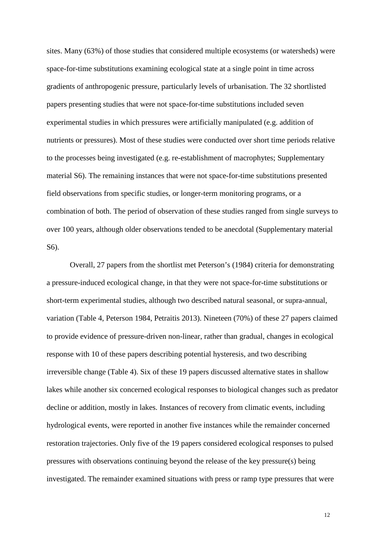sites. Many (63%) of those studies that considered multiple ecosystems (or watersheds) were space-for-time substitutions examining ecological state at a single point in time across gradients of anthropogenic pressure, particularly levels of urbanisation. The 32 shortlisted papers presenting studies that were not space-for-time substitutions included seven experimental studies in which pressures were artificially manipulated (e.g. addition of nutrients or pressures). Most of these studies were conducted over short time periods relative to the processes being investigated (e.g. re-establishment of macrophytes; Supplementary material S6). The remaining instances that were not space-for-time substitutions presented field observations from specific studies, or longer-term monitoring programs, or a combination of both. The period of observation of these studies ranged from single surveys to over 100 years, although older observations tended to be anecdotal (Supplementary material S6).

Overall, 27 papers from the shortlist met Peterson's (1984) criteria for demonstrating a pressure-induced ecological change, in that they were not space-for-time substitutions or short-term experimental studies, although two described natural seasonal, or supra-annual, variation (Table 4, Peterson 1984, Petraitis 2013). Nineteen (70%) of these 27 papers claimed to provide evidence of pressure-driven non-linear, rather than gradual, changes in ecological response with 10 of these papers describing potential hysteresis, and two describing irreversible change (Table 4). Six of these 19 papers discussed alternative states in shallow lakes while another six concerned ecological responses to biological changes such as predator decline or addition, mostly in lakes. Instances of recovery from climatic events, including hydrological events, were reported in another five instances while the remainder concerned restoration trajectories. Only five of the 19 papers considered ecological responses to pulsed pressures with observations continuing beyond the release of the key pressure(s) being investigated. The remainder examined situations with press or ramp type pressures that were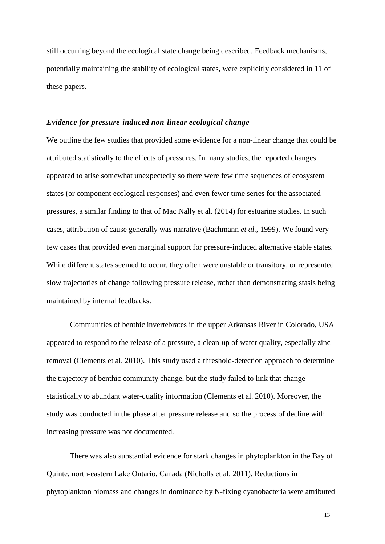still occurring beyond the ecological state change being described. Feedback mechanisms, potentially maintaining the stability of ecological states, were explicitly considered in 11 of these papers.

#### *Evidence for pressure-induced non-linear ecological change*

We outline the few studies that provided some evidence for a non-linear change that could be attributed statistically to the effects of pressures. In many studies, the reported changes appeared to arise somewhat unexpectedly so there were few time sequences of ecosystem states (or component ecological responses) and even fewer time series for the associated pressures, a similar finding to that of Mac Nally et al. (2014) for estuarine studies. In such cases, attribution of cause generally was narrative [\(Bachmann](#page-20-0) *et al.*, 1999). We found very few cases that provided even marginal support for pressure-induced alternative stable states. While different states seemed to occur, they often were unstable or transitory, or represented slow trajectories of change following pressure release, rather than demonstrating stasis being maintained by internal feedbacks.

Communities of benthic invertebrates in the upper Arkansas River in Colorado, USA appeared to respond to the release of a pressure, a clean-up of water quality, especially zinc removal (Clements et al. 2010). This study used a threshold-detection approach to determine the trajectory of benthic community change, but the study failed to link that change statistically to abundant water-quality information (Clements et al. 2010). Moreover, the study was conducted in the phase after pressure release and so the process of decline with increasing pressure was not documented.

There was also substantial evidence for stark changes in phytoplankton in the Bay of Quinte, north-eastern Lake Ontario, Canada (Nicholls et al. 2011). Reductions in phytoplankton biomass and changes in dominance by N-fixing cyanobacteria were attributed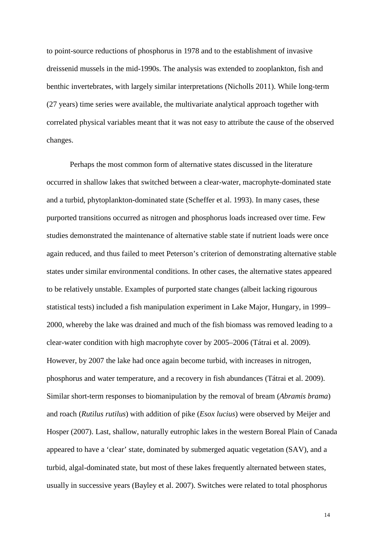to point-source reductions of phosphorus in 1978 and to the establishment of invasive dreissenid mussels in the mid-1990s. The analysis was extended to zooplankton, fish and benthic invertebrates, with largely similar interpretations (Nicholls 2011). While long-term (27 years) time series were available, the multivariate analytical approach together with correlated physical variables meant that it was not easy to attribute the cause of the observed changes.

Perhaps the most common form of alternative states discussed in the literature occurred in shallow lakes that switched between a clear-water, macrophyte-dominated state and a turbid, phytoplankton-dominated state (Scheffer et al. 1993). In many cases, these purported transitions occurred as nitrogen and phosphorus loads increased over time. Few studies demonstrated the maintenance of alternative stable state if nutrient loads were once again reduced, and thus failed to meet Peterson's criterion of demonstrating alternative stable states under similar environmental conditions. In other cases, the alternative states appeared to be relatively unstable. Examples of purported state changes (albeit lacking rigourous statistical tests) included a fish manipulation experiment in Lake Major, Hungary, in 1999– 2000, whereby the lake was drained and much of the fish biomass was removed leading to a clear-water condition with high macrophyte cover by 2005–2006 (Tátrai et al. 2009). However, by 2007 the lake had once again become turbid, with increases in nitrogen, phosphorus and water temperature, and a recovery in fish abundances (Tátrai et al. 2009). Similar short-term responses to biomanipulation by the removal of bream (*Abramis brama*) and roach (*Rutilus rutilus*) with addition of pike (*Esox lucius*) were observed by Meijer and Hosper (2007). Last, shallow, naturally eutrophic lakes in the western Boreal Plain of Canada appeared to have a 'clear' state, dominated by submerged aquatic vegetation (SAV), and a turbid, algal-dominated state, but most of these lakes frequently alternated between states, usually in successive years (Bayley et al. 2007). Switches were related to total phosphorus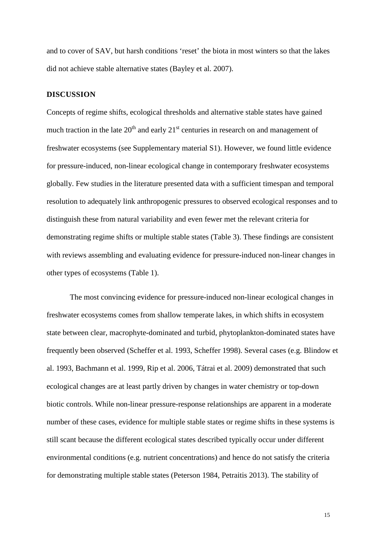and to cover of SAV, but harsh conditions 'reset' the biota in most winters so that the lakes did not achieve stable alternative states (Bayley et al. 2007).

#### **DISCUSSION**

Concepts of regime shifts, ecological thresholds and alternative stable states have gained much traction in the late  $20<sup>th</sup>$  and early  $21<sup>st</sup>$  centuries in research on and management of freshwater ecosystems (see Supplementary material S1). However, we found little evidence for pressure-induced, non-linear ecological change in contemporary freshwater ecosystems globally. Few studies in the literature presented data with a sufficient timespan and temporal resolution to adequately link anthropogenic pressures to observed ecological responses and to distinguish these from natural variability and even fewer met the relevant criteria for demonstrating regime shifts or multiple stable states (Table 3). These findings are consistent with reviews assembling and evaluating evidence for pressure-induced non-linear changes in other types of ecosystems (Table 1).

The most convincing evidence for pressure-induced non-linear ecological changes in freshwater ecosystems comes from shallow temperate lakes, in which shifts in ecosystem state between clear, macrophyte-dominated and turbid, phytoplankton-dominated states have frequently been observed (Scheffer et al. 1993, Scheffer 1998). Several cases (e.g. Blindow et al. 1993, Bachmann et al. 1999, Rip et al. 2006, Tátrai et al. 2009) demonstrated that such ecological changes are at least partly driven by changes in water chemistry or top-down biotic controls. While non-linear pressure-response relationships are apparent in a moderate number of these cases, evidence for multiple stable states or regime shifts in these systems is still scant because the different ecological states described typically occur under different environmental conditions (e.g. nutrient concentrations) and hence do not satisfy the criteria for demonstrating multiple stable states (Peterson 1984, Petraitis 2013). The stability of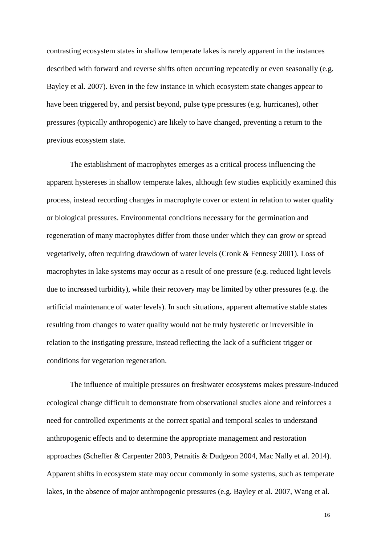contrasting ecosystem states in shallow temperate lakes is rarely apparent in the instances described with forward and reverse shifts often occurring repeatedly or even seasonally (e.g. Bayley et al. 2007). Even in the few instance in which ecosystem state changes appear to have been triggered by, and persist beyond, pulse type pressures (e.g. hurricanes), other pressures (typically anthropogenic) are likely to have changed, preventing a return to the previous ecosystem state.

The establishment of macrophytes emerges as a critical process influencing the apparent hystereses in shallow temperate lakes, although few studies explicitly examined this process, instead recording changes in macrophyte cover or extent in relation to water quality or biological pressures. Environmental conditions necessary for the germination and regeneration of many macrophytes differ from those under which they can grow or spread vegetatively, often requiring drawdown of water levels (Cronk & Fennesy 2001). Loss of macrophytes in lake systems may occur as a result of one pressure (e.g. reduced light levels due to increased turbidity), while their recovery may be limited by other pressures (e.g. the artificial maintenance of water levels). In such situations, apparent alternative stable states resulting from changes to water quality would not be truly hysteretic or irreversible in relation to the instigating pressure, instead reflecting the lack of a sufficient trigger or conditions for vegetation regeneration.

The influence of multiple pressures on freshwater ecosystems makes pressure-induced ecological change difficult to demonstrate from observational studies alone and reinforces a need for controlled experiments at the correct spatial and temporal scales to understand anthropogenic effects and to determine the appropriate management and restoration approaches (Scheffer & Carpenter 2003, Petraitis & Dudgeon 2004, Mac Nally et al. 2014). Apparent shifts in ecosystem state may occur commonly in some systems, such as temperate lakes, in the absence of major anthropogenic pressures (e.g. Bayley et al. 2007, Wang et al.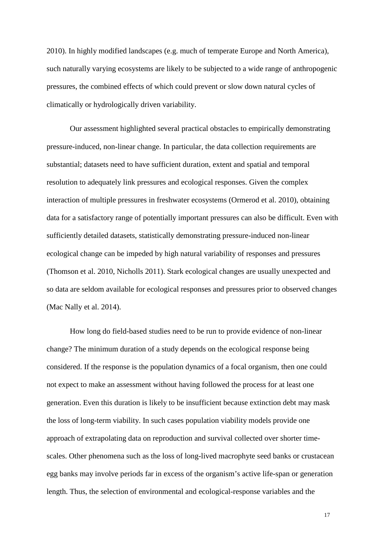2010). In highly modified landscapes (e.g. much of temperate Europe and North America), such naturally varying ecosystems are likely to be subjected to a wide range of anthropogenic pressures, the combined effects of which could prevent or slow down natural cycles of climatically or hydrologically driven variability.

Our assessment highlighted several practical obstacles to empirically demonstrating pressure-induced, non-linear change. In particular, the data collection requirements are substantial; datasets need to have sufficient duration, extent and spatial and temporal resolution to adequately link pressures and ecological responses. Given the complex interaction of multiple pressures in freshwater ecosystems (Ormerod et al. 2010), obtaining data for a satisfactory range of potentially important pressures can also be difficult. Even with sufficiently detailed datasets, statistically demonstrating pressure-induced non-linear ecological change can be impeded by high natural variability of responses and pressures (Thomson et al. 2010, Nicholls 2011). Stark ecological changes are usually unexpected and so data are seldom available for ecological responses and pressures prior to observed changes (Mac Nally et al. 2014).

How long do field-based studies need to be run to provide evidence of non-linear change? The minimum duration of a study depends on the ecological response being considered. If the response is the population dynamics of a focal organism, then one could not expect to make an assessment without having followed the process for at least one generation. Even this duration is likely to be insufficient because extinction debt may mask the loss of long-term viability. In such cases population viability models provide one approach of extrapolating data on reproduction and survival collected over shorter timescales. Other phenomena such as the loss of long-lived macrophyte seed banks or crustacean egg banks may involve periods far in excess of the organism's active life-span or generation length. Thus, the selection of environmental and ecological-response variables and the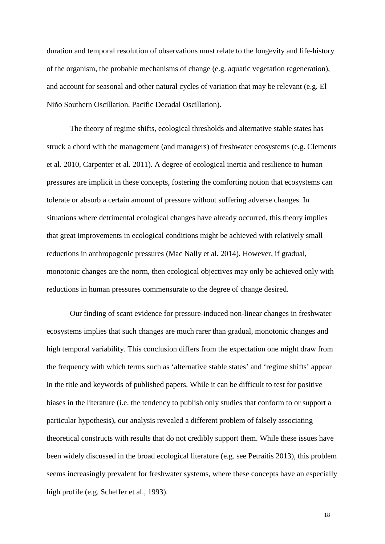duration and temporal resolution of observations must relate to the longevity and life-history of the organism, the probable mechanisms of change (e.g. aquatic vegetation regeneration), and account for seasonal and other natural cycles of variation that may be relevant (e.g. El Niño Southern Oscillation, Pacific Decadal Oscillation).

The theory of regime shifts, ecological thresholds and alternative stable states has struck a chord with the management (and managers) of freshwater ecosystems (e.g. Clements et al. 2010, Carpenter et al. 2011). A degree of ecological inertia and resilience to human pressures are implicit in these concepts, fostering the comforting notion that ecosystems can tolerate or absorb a certain amount of pressure without suffering adverse changes. In situations where detrimental ecological changes have already occurred, this theory implies that great improvements in ecological conditions might be achieved with relatively small reductions in anthropogenic pressures (Mac Nally et al. 2014). However, if gradual, monotonic changes are the norm, then ecological objectives may only be achieved only with reductions in human pressures commensurate to the degree of change desired.

Our finding of scant evidence for pressure-induced non-linear changes in freshwater ecosystems implies that such changes are much rarer than gradual, monotonic changes and high temporal variability. This conclusion differs from the expectation one might draw from the frequency with which terms such as 'alternative stable states' and 'regime shifts' appear in the title and keywords of published papers. While it can be difficult to test for positive biases in the literature (i.e. the tendency to publish only studies that conform to or support a particular hypothesis), our analysis revealed a different problem of falsely associating theoretical constructs with results that do not credibly support them. While these issues have been widely discussed in the broad ecological literature (e.g. see Petraitis 2013), this problem seems increasingly prevalent for freshwater systems, where these concepts have an especially high profile (e.g. Scheffer et al., 1993).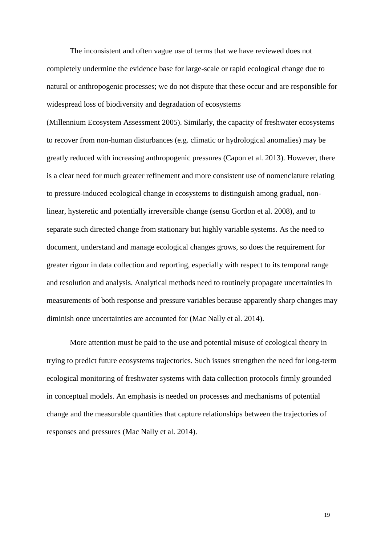The inconsistent and often vague use of terms that we have reviewed does not completely undermine the evidence base for large-scale or rapid ecological change due to natural or anthropogenic processes; we do not dispute that these occur and are responsible for widespread loss of biodiversity and degradation of ecosystems

(Millennium Ecosystem Assessment 2005). Similarly, the capacity of freshwater ecosystems to recover from non-human disturbances (e.g. climatic or hydrological anomalies) may be greatly reduced with increasing anthropogenic pressures (Capon et al. 2013). However, there is a clear need for much greater refinement and more consistent use of nomenclature relating to pressure-induced ecological change in ecosystems to distinguish among gradual, nonlinear, hysteretic and potentially irreversible change (sensu Gordon et al. 2008), and to separate such directed change from stationary but highly variable systems. As the need to document, understand and manage ecological changes grows, so does the requirement for greater rigour in data collection and reporting, especially with respect to its temporal range and resolution and analysis. Analytical methods need to routinely propagate uncertainties in measurements of both response and pressure variables because apparently sharp changes may diminish once uncertainties are accounted for (Mac Nally et al. 2014).

More attention must be paid to the use and potential misuse of ecological theory in trying to predict future ecosystems trajectories. Such issues strengthen the need for long-term ecological monitoring of freshwater systems with data collection protocols firmly grounded in conceptual models. An emphasis is needed on processes and mechanisms of potential change and the measurable quantities that capture relationships between the trajectories of responses and pressures (Mac Nally et al. 2014).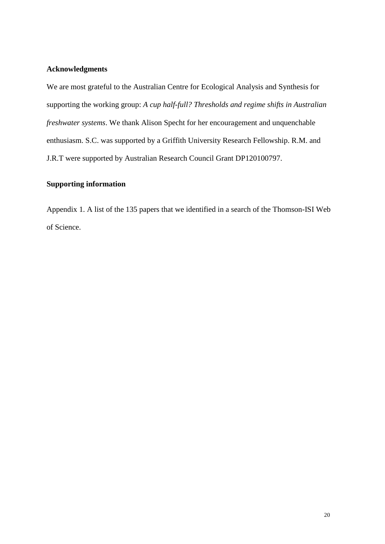## **Acknowledgments**

We are most grateful to the Australian Centre for Ecological Analysis and Synthesis for supporting the working group: *A cup half-full? Thresholds and regime shifts in Australian freshwater systems*. We thank Alison Specht for her encouragement and unquenchable enthusiasm. S.C. was supported by a Griffith University Research Fellowship. R.M. and J.R.T were supported by Australian Research Council Grant DP120100797.

## **Supporting information**

Appendix 1. A list of the 135 papers that we identified in a search of the Thomson-ISI Web of Science.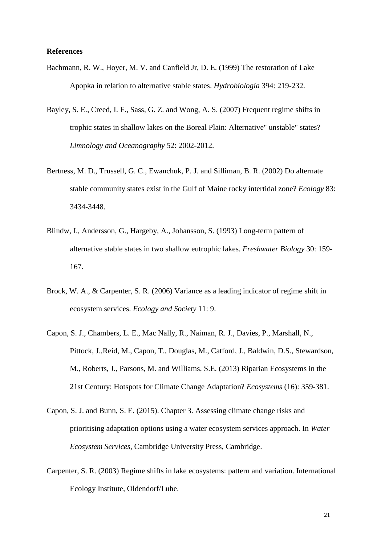#### **References**

- <span id="page-20-0"></span>Bachmann, R. W., Hoyer, M. V. and Canfield Jr, D. E. (1999) The restoration of Lake Apopka in relation to alternative stable states. *Hydrobiologia* 394: 219-232.
- Bayley, S. E., Creed, I. F., Sass, G. Z. and Wong, A. S. (2007) Frequent regime shifts in trophic states in shallow lakes on the Boreal Plain: Alternative" unstable" states? *Limnology and Oceanography* 52: 2002-2012.
- Bertness, M. D., Trussell, G. C., Ewanchuk, P. J. and Silliman, B. R. (2002) Do alternate stable community states exist in the Gulf of Maine rocky intertidal zone? *Ecology* 83: 3434-3448.
- Blindw, I., Andersson, G., Hargeby, A., Johansson, S. (1993) Long-term pattern of alternative stable states in two shallow eutrophic lakes. *Freshwater Biology* 30: 159- 167.
- Brock, W. A., & Carpenter, S. R. (2006) Variance as a leading indicator of regime shift in ecosystem services. *Ecology and Society* 11: 9.
- Capon, S. J., Chambers, L. E., Mac Nally, R., Naiman, R. J., Davies, P., Marshall, N., Pittock, J.,Reid, M., Capon, T., Douglas, M., Catford, J., Baldwin, D.S., Stewardson, M., Roberts, J., Parsons, M. and Williams, S.E. (2013) Riparian Ecosystems in the 21st Century: Hotspots for Climate Change Adaptation? *Ecosystems* (16): 359-381.
- Capon, S. J. and Bunn, S. E. (2015). Chapter 3. Assessing climate change risks and prioritising adaptation options using a water ecosystem services approach. In *Water Ecosystem Services*, Cambridge University Press, Cambridge.
- Carpenter, S. R. (2003) Regime shifts in lake ecosystems: pattern and variation. International Ecology Institute, Oldendorf/Luhe.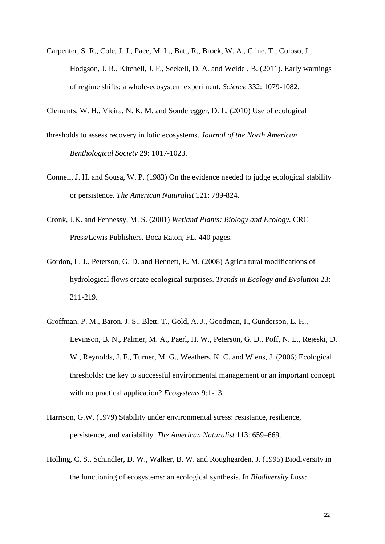Carpenter, S. R., Cole, J. J., Pace, M. L., Batt, R., Brock, W. A., Cline, T., Coloso, J., Hodgson, J. R., Kitchell, J. F., Seekell, D. A. and Weidel, B. (2011). Early warnings of regime shifts: a whole-ecosystem experiment. *Science* 332: 1079-1082.

<span id="page-21-0"></span>Clements, W. H., Vieira, N. K. M. and Sonderegger, D. L. (2010) Use of ecological

- thresholds to assess recovery in lotic ecosystems. *Journal of the North American Benthological Society* 29: 1017-1023.
- Connell, J. H. and Sousa, W. P. (1983) On the evidence needed to judge ecological stability or persistence. *The American Naturalist* 121: 789-824.
- Cronk, J.K. and Fennessy, M. S. (2001) *Wetland Plants: Biology and Ecology.* CRC Press/Lewis Publishers. Boca Raton, FL. 440 pages.
- Gordon, L. J., Peterson, G. D. and Bennett, E. M. (2008) Agricultural modifications of hydrological flows create ecological surprises. *Trends in Ecology and Evolution* 23: 211-219.
- Groffman, P. M., Baron, J. S., Blett, T., Gold, A. J., Goodman, I., Gunderson, L. H., Levinson, B. N., Palmer, M. A., Paerl, H. W., Peterson, G. D., Poff, N. L., Rejeski, D. W., Reynolds, J. F., Turner, M. G., Weathers, K. C. and Wiens, J. (2006) Ecological thresholds: the key to successful environmental management or an important concept with no practical application? *Ecosystems* 9:1-13.
- Harrison, G.W. (1979) Stability under environmental stress: resistance, resilience, persistence, and variability. *The American Naturalist* 113: 659–669.
- Holling, C. S., Schindler, D. W., Walker, B. W. and Roughgarden, J. (1995) Biodiversity in the functioning of ecosystems: an ecological synthesis. In *Biodiversity Loss:*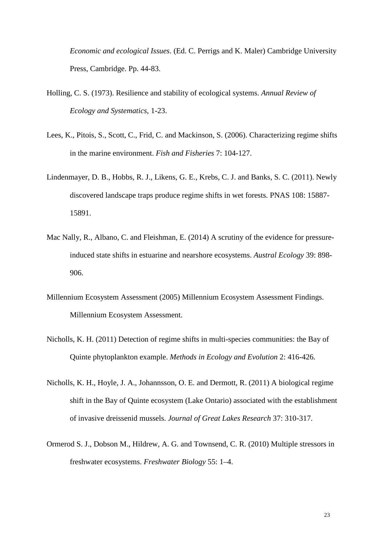*Economic and ecological Issues*. (Ed. C. Perrigs and K. Maler) Cambridge University Press, Cambridge. Pp. 44-83.

- Holling, C. S. (1973). Resilience and stability of ecological systems. *Annual Review of Ecology and Systematics*, 1-23.
- Lees, K., Pitois, S., Scott, C., Frid, C. and Mackinson, S. (2006). Characterizing regime shifts in the marine environment. *Fish and Fisheries* 7: 104-127.
- Lindenmayer, D. B., Hobbs, R. J., Likens, G. E., Krebs, C. J. and Banks, S. C. (2011). Newly discovered landscape traps produce regime shifts in wet forests. PNAS 108: 15887- 15891.
- Mac Nally, R., Albano, C. and Fleishman, E. (2014) A scrutiny of the evidence for pressureinduced state shifts in estuarine and nearshore ecosystems. *Austral Ecology* 39: 898- 906.
- Millennium Ecosystem Assessment (2005) Millennium Ecosystem Assessment Findings. Millennium Ecosystem Assessment.
- Nicholls, K. H. (2011) Detection of regime shifts in multi-species communities: the Bay of Quinte phytoplankton example. *Methods in Ecology and Evolution* 2: 416-426.
- Nicholls, K. H., Hoyle, J. A., Johannsson, O. E. and Dermott, R. (2011) A biological regime shift in the Bay of Quinte ecosystem (Lake Ontario) associated with the establishment of invasive dreissenid mussels. *Journal of Great Lakes Research* 37: 310-317.
- Ormerod S. J., Dobson M., Hildrew, A. G. and Townsend, C. R. (2010) Multiple stressors in freshwater ecosystems. *Freshwater Biology* 55: 1–4.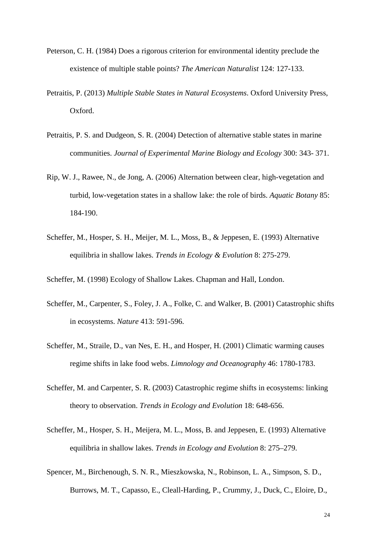- Peterson, C. H. (1984) Does a rigorous criterion for environmental identity preclude the existence of multiple stable points? *The American Naturalist* 124: 127-133.
- Petraitis, P. (2013) *Multiple Stable States in Natural Ecosystems*. Oxford University Press, Oxford.
- Petraitis, P. S. and Dudgeon, S. R. (2004) Detection of alternative stable states in marine communities. *Journal of Experimental Marine Biology and Ecology* 300: 343- 371.
- Rip, W. J., Rawee, N., de Jong, A. (2006) Alternation between clear, high-vegetation and turbid, low-vegetation states in a shallow lake: the role of birds. *Aquatic Botany* 85: 184-190.
- Scheffer, M., Hosper, S. H., Meijer, M. L., Moss, B., & Jeppesen, E. (1993) Alternative equilibria in shallow lakes. *Trends in Ecology & Evolution* 8: 275-279.

Scheffer, M. (1998) Ecology of Shallow Lakes. Chapman and Hall, London.

- Scheffer, M., Carpenter, S., Foley, J. A., Folke, C. and Walker, B. (2001) Catastrophic shifts in ecosystems. *Nature* 413: 591-596.
- Scheffer, M., Straile, D., van Nes, E. H., and Hosper, H. (2001) Climatic warming causes regime shifts in lake food webs. *Limnology and Oceanography* 46: 1780-1783.
- Scheffer, M. and Carpenter, S. R. (2003) Catastrophic regime shifts in ecosystems: linking theory to observation. *Trends in Ecology and Evolution* 18: 648-656.
- Scheffer, M., Hosper, S. H., Meijera, M. L., Moss, B. and Jeppesen, E. (1993) Alternative equilibria in shallow lakes. *Trends in Ecology and Evolution* 8: 275–279.
- Spencer, M., Birchenough, S. N. R., Mieszkowska, N., Robinson, L. A., Simpson, S. D., Burrows, M. T., Capasso, E., Cleall-Harding, P., Crummy, J., Duck, C., Eloire, D.,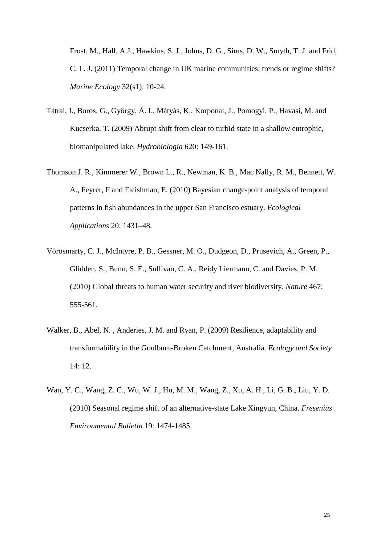Frost, M., Hall, A.J., Hawkins, S. J., Johns, D. G., Sims, D. W., Smyth, T. J. and Frid, C. L. J. (2011) Temporal change in UK marine communities: trends or regime shifts? *Marine Ecology* 32(s1): 10-24.

- Tátrai, I., Boros, G., György, Á. I., Mátyás, K., Korponai, J., Pomogyi, P., Havasi, M. and Kucserka, T. (2009) Abrupt shift from clear to turbid state in a shallow eutrophic, biomanipulated lake. *Hydrobiologia* 620: 149-161.
- Thomson J. R., Kimmerer W., Brown L., R., Newman, K. B., Mac Nally, R. M., Bennett, W. A., Feyrer, F and Fleishman, E. (2010) Bayesian change-point analysis of temporal patterns in fish abundances in the upper San Francisco estuary. *Ecological Applications* 20: 1431–48.
- Vörösmarty, C. J., McIntyre, P. B., Gessner, M. O., Dudgeon, D., Prusevich, A., Green, P., Glidden, S., Bunn, S. E., Sullivan, C. A., Reidy Liermann, C. and Davies, P. M. (2010) Global threats to human water security and river biodiversity. *Nature* 467: 555-561.
- Walker, B., Abel, N. , Anderies, J. M. and Ryan, P. (2009) Resilience, adaptability and transformability in the Goulburn-Broken Catchment, Australia. *Ecology and Society* 14: 12.
- Wan, Y. C., Wang, Z. C., Wu, W. J., Hu, M. M., Wang, Z., Xu, A. H., Li, G. B., Liu, Y. D. (2010) Seasonal regime shift of an alternative-state Lake Xingyun, China. *Fresenius Environmental Bulletin* 19: 1474-1485.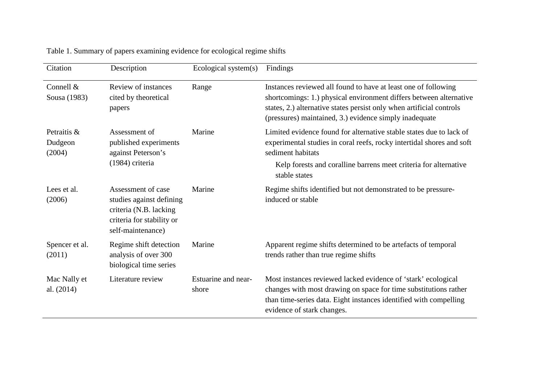| Citation                         | Description                                                                                                                 | Ecological system(s)         | Findings                                                                                                                                                                                                                                                               |
|----------------------------------|-----------------------------------------------------------------------------------------------------------------------------|------------------------------|------------------------------------------------------------------------------------------------------------------------------------------------------------------------------------------------------------------------------------------------------------------------|
| Connell &<br>Sousa (1983)        | Review of instances<br>cited by theoretical<br>papers                                                                       | Range                        | Instances reviewed all found to have at least one of following<br>shortcomings: 1.) physical environment differs between alternative<br>states, 2.) alternative states persist only when artificial controls<br>(pressures) maintained, 3.) evidence simply inadequate |
| Petraitis &<br>Dudgeon<br>(2004) | Assessment of<br>published experiments<br>against Peterson's<br>(1984) criteria                                             | Marine                       | Limited evidence found for alternative stable states due to lack of<br>experimental studies in coral reefs, rocky intertidal shores and soft<br>sediment habitats<br>Kelp forests and coralline barrens meet criteria for alternative<br>stable states                 |
| Lees et al.<br>(2006)            | Assessment of case<br>studies against defining<br>criteria (N.B. lacking)<br>criteria for stability or<br>self-maintenance) | Marine                       | Regime shifts identified but not demonstrated to be pressure-<br>induced or stable                                                                                                                                                                                     |
| Spencer et al.<br>(2011)         | Regime shift detection<br>analysis of over 300<br>biological time series                                                    | Marine                       | Apparent regime shifts determined to be artefacts of temporal<br>trends rather than true regime shifts                                                                                                                                                                 |
| Mac Nally et<br>al. (2014)       | Literature review                                                                                                           | Estuarine and near-<br>shore | Most instances reviewed lacked evidence of 'stark' ecological<br>changes with most drawing on space for time substitutions rather<br>than time-series data. Eight instances identified with compelling<br>evidence of stark changes.                                   |

Table 1. Summary of papers examining evidence for ecological regime shifts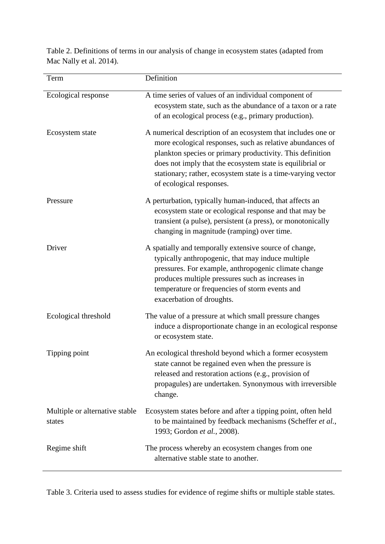Table 2. Definitions of terms in our analysis of change in ecosystem states (adapted from Mac Nally et al. 2014).

| Term                                     | Definition                                                                                                                                                                                                                                                                                                                                      |
|------------------------------------------|-------------------------------------------------------------------------------------------------------------------------------------------------------------------------------------------------------------------------------------------------------------------------------------------------------------------------------------------------|
| Ecological response                      | A time series of values of an individual component of<br>ecosystem state, such as the abundance of a taxon or a rate<br>of an ecological process (e.g., primary production).                                                                                                                                                                    |
| Ecosystem state                          | A numerical description of an ecosystem that includes one or<br>more ecological responses, such as relative abundances of<br>plankton species or primary productivity. This definition<br>does not imply that the ecosystem state is equilibrial or<br>stationary; rather, ecosystem state is a time-varying vector<br>of ecological responses. |
| Pressure                                 | A perturbation, typically human-induced, that affects an<br>ecosystem state or ecological response and that may be<br>transient (a pulse), persistent (a press), or monotonically<br>changing in magnitude (ramping) over time.                                                                                                                 |
| Driver                                   | A spatially and temporally extensive source of change,<br>typically anthropogenic, that may induce multiple<br>pressures. For example, anthropogenic climate change<br>produces multiple pressures such as increases in<br>temperature or frequencies of storm events and<br>exacerbation of droughts.                                          |
| Ecological threshold                     | The value of a pressure at which small pressure changes<br>induce a disproportionate change in an ecological response<br>or ecosystem state.                                                                                                                                                                                                    |
| Tipping point                            | An ecological threshold beyond which a former ecosystem<br>state cannot be regained even when the pressure is<br>released and restoration actions (e.g., provision of<br>propagules) are undertaken. Synonymous with irreversible<br>change.                                                                                                    |
| Multiple or alternative stable<br>states | Ecosystem states before and after a tipping point, often held<br>to be maintained by feedback mechanisms (Scheffer et al.,<br>1993; Gordon et al., 2008).                                                                                                                                                                                       |
| Regime shift                             | The process whereby an ecosystem changes from one<br>alternative stable state to another.                                                                                                                                                                                                                                                       |

Table 3. Criteria used to assess studies for evidence of regime shifts or multiple stable states.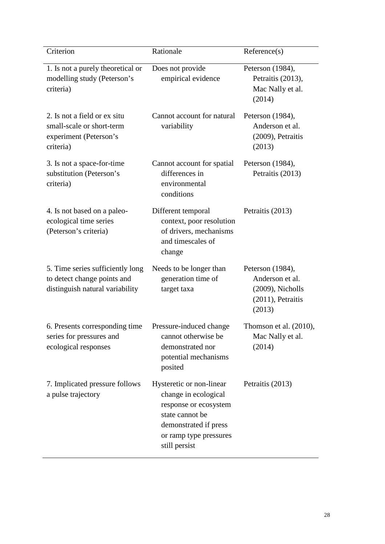| Criterion                                                                                          | Rationale                                                                                                                                                        | Reference(s)                                                                           |
|----------------------------------------------------------------------------------------------------|------------------------------------------------------------------------------------------------------------------------------------------------------------------|----------------------------------------------------------------------------------------|
| 1. Is not a purely theoretical or<br>modelling study (Peterson's<br>criteria)                      | Does not provide<br>empirical evidence                                                                                                                           | Peterson (1984),<br>Petraitis (2013),<br>Mac Nally et al.<br>(2014)                    |
| 2. Is not a field or ex situ<br>small-scale or short-term<br>experiment (Peterson's<br>criteria)   | Cannot account for natural<br>variability                                                                                                                        | Peterson (1984),<br>Anderson et al.<br>(2009), Petraitis<br>(2013)                     |
| 3. Is not a space-for-time<br>substitution (Peterson's<br>criteria)                                | Cannot account for spatial<br>differences in<br>environmental<br>conditions                                                                                      | Peterson (1984),<br>Petraitis (2013)                                                   |
| 4. Is not based on a paleo-<br>ecological time series<br>(Peterson's criteria)                     | Different temporal<br>context, poor resolution<br>of drivers, mechanisms<br>and timescales of<br>change                                                          | Petraitis (2013)                                                                       |
| 5. Time series sufficiently long<br>to detect change points and<br>distinguish natural variability | Needs to be longer than<br>generation time of<br>target taxa                                                                                                     | Peterson (1984),<br>Anderson et al.<br>(2009), Nicholls<br>(2011), Petraitis<br>(2013) |
| 6. Presents corresponding time<br>series for pressures and<br>ecological responses                 | Pressure-induced change<br>cannot otherwise be<br>demonstrated nor<br>potential mechanisms<br>posited                                                            | Thomson et al. $(2010)$ ,<br>Mac Nally et al.<br>(2014)                                |
| 7. Implicated pressure follows<br>a pulse trajectory                                               | Hysteretic or non-linear<br>change in ecological<br>response or ecosystem<br>state cannot be<br>demonstrated if press<br>or ramp type pressures<br>still persist | Petraitis (2013)                                                                       |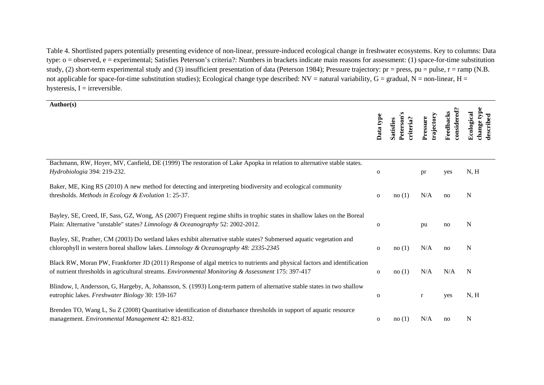Table 4. Shortlisted papers potentially presenting evidence of non-linear, pressure-induced ecological change in freshwater ecosystems. Key to columns: Data type: o = observed, e = experimental; Satisfies Peterson's criteria?: Numbers in brackets indicate main reasons for assessment: (1) space-for-time substitution study, (2) short-term experimental study and (3) insufficient presentation of data (Peterson 1984); Pressure trajectory:  $pr = press$ ,  $pu = pulse$ ,  $r = ramp$  (N.B. not applicable for space-for-time substitution studies); Ecological change type described:  $NV =$ natural variability, G = gradual, N = non-linear, H = hysteresis,  $I =$  irreversible.

| Author(s)                                                                                                                                                                                                                      | Data type    | Peterson<br>criteria?<br><b>Satisfies</b> | trajectory<br>Pressure | considered?<br>Feedbacks | change type<br>Ecological<br>ribed |
|--------------------------------------------------------------------------------------------------------------------------------------------------------------------------------------------------------------------------------|--------------|-------------------------------------------|------------------------|--------------------------|------------------------------------|
| Bachmann, RW, Hoyer, MV, Canfield, DE (1999) The restoration of Lake Apopka in relation to alternative stable states.<br>Hydrobiologia 394: 219-232.                                                                           | $\mathbf 0$  |                                           | pr                     | yes                      | N, H                               |
| Baker, ME, King RS (2010) A new method for detecting and interpreting biodiversity and ecological community<br>thresholds. Methods in Ecology & Evolution 1: 25-37.                                                            | $\mathbf{O}$ | no(1)                                     | N/A                    | no                       | N                                  |
| Bayley, SE, Creed, IF, Sass, GZ, Wong, AS (2007) Frequent regime shifts in trophic states in shallow lakes on the Boreal<br>Plain: Alternative "unstable" states? Limnology & Oceanography 52: 2002-2012.                      | $\mathbf 0$  |                                           | pu                     | no                       | N                                  |
| Bayley, SE, Prather, CM (2003) Do wetland lakes exhibit alternative stable states? Submersed aquatic vegetation and<br>chlorophyll in western boreal shallow lakes. <i>Limnology &amp; Oceanography 48: 2335-2345</i>          | $\mathbf{O}$ | no(1)                                     | N/A                    | no                       | N                                  |
| Black RW, Moran PW, Frankforter JD (2011) Response of algal metrics to nutrients and physical factors and identification<br>of nutrient thresholds in agricultural streams. Environmental Monitoring & Assessment 175: 397-417 | $\mathbf{O}$ | no(1)                                     | N/A                    | N/A                      | N                                  |
| Blindow, I, Andersson, G, Hargeby, A, Johansson, S. (1993) Long-term pattern of alternative stable states in two shallow<br>eutrophic lakes. Freshwater Biology 30: 159-167                                                    | $\mathbf 0$  |                                           | $\mathbf r$            | yes                      | N, H                               |
| Brenden TO, Wang L, Su Z (2008) Quantitative identification of disturbance thresholds in support of aquatic resource<br>management. Environmental Management 42: 821-832.                                                      | $\mathbf{o}$ | no(1)                                     | N/A                    | no                       | N                                  |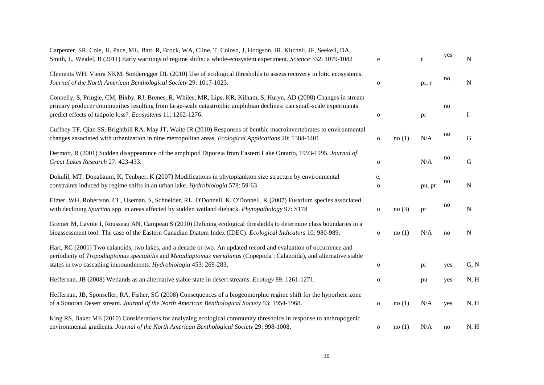| Carpenter, SR, Cole, JJ, Pace, ML, Batt, R, Brock, WA, Cline, T, Coloso, J, Hodgson, JR, Kitchell, JF, Seekell, DA,<br>Smith, L, Weidel, B (2011) Early warnings of regime shifts: a whole-ecosystem experiment. Science 332: 1079-1082                                                                        | e                  |       | $\mathbf{r}$ | yes | N            |
|----------------------------------------------------------------------------------------------------------------------------------------------------------------------------------------------------------------------------------------------------------------------------------------------------------------|--------------------|-------|--------------|-----|--------------|
| Clements WH, Vieira NKM, Sonderegger DL (2010) Use of ecological thresholds to assess recovery in lotic ecosystems.<br>Journal of the North American Benthological Society 29: 1017-1023.                                                                                                                      | $\mathbf{O}$       |       | pr, r        | no  | N            |
| Connelly, S, Pringle, CM, Bixby, RJ, Brenes, R, Whiles, MR, Lips, KR, Kilham, S, Huryn, AD (2008) Changes in stream<br>primary producer communities resulting from large-scale catastrophic amphibian declines: can small-scale experiments<br>predict effects of tadpole loss?. Ecosystems 11: 1262-1276.     | ${\bf O}$          |       | pr           | no  | $\mathbf{I}$ |
| Cuffney TF, Qian SS, Brightbill RA, May JT, Waite IR (2010) Responses of benthic macroinvertebrates to environmental<br>changes associated with urbanization in nine metropolitan areas. <i>Ecological Applications</i> 20: 1384-1401                                                                          | $\mathbf{O}$       | no(1) | N/A          | no  | G            |
| Dermott, R (2001) Sudden disappearance of the amphipod Diporeia from Eastern Lake Ontario, 1993-1995. Journal of<br>Great Lakes Research 27: 423-433.                                                                                                                                                          | $\mathbf{O}$       |       | N/A          | no  | G            |
| Dokulil, MT, Donabaum, K, Teubner, K (2007) Modifications in phytoplankton size structure by environmental<br>constraints induced by regime shifts in an urban lake. Hydrobiologia 578: 59-63                                                                                                                  | e,<br>$\mathbf{O}$ |       | pu, pr       | no  | ${\bf N}$    |
| Elmer, WH, Robertson, CL, Useman, S, Schneider, RL, O'Donnell, K, O'Donnell, K (2007) Fusarium species associated<br>with declining Spartina spp. in areas affected by sudden wetland dieback. Phytopathology 97: S178                                                                                         | $\mathbf 0$        | no(3) | pr           | no  | N            |
| Grenier M, Lavoie I, Rousseau AN, Campeau S (2010) Defining ecological thresholds to determine class boundaries in a<br>bioassessment tool: The case of the Eastern Canadian Diatom Index (IDEC). Ecological Indicators 10: 980-989.                                                                           | $\mathbf{o}$       | no(1) | N/A          | no  | N            |
| Hart, RC (2001) Two calanoids, two lakes, and a decade or two. An updated record and evaluation of occurrence and<br>periodicity of Tropodiaptomus spectabilis and Metadiaptomus meridianus (Copepoda: Calanoida), and alternative stable<br>states in two cascading impoundments. Hydrobiologia 453: 269-283. | $\mathbf 0$        |       | pr           | yes | G, N         |
| Heffernan, JB (2008) Wetlands as an alternative stable state in desert streams. Ecology 89: 1261-1271.                                                                                                                                                                                                         | ${\bf O}$          |       | pu           | yes | N, H         |
| Heffernan, JB, Sponseller, RA, Fisher, SG (2008) Consequences of a biogeomorphic regime shift for the hyporheic zone<br>of a Sonoran Desert stream. Journal of the North American Benthological Society 53: 1954-1968.                                                                                         | $\mathbf 0$        | no(1) | N/A          | yes | N, H         |
| King RS, Baker ME (2010) Considerations for analyzing ecological community thresholds in response to anthropogenic<br>environmental gradients. Journal of the North American Benthological Society 29: 998-1008.                                                                                               | $\mathbf 0$        | no(1) | N/A          | no  | N, H         |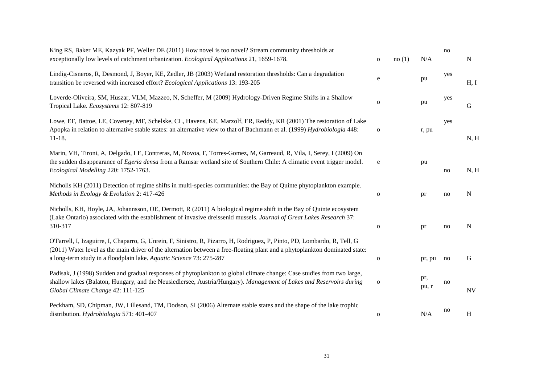| King RS, Baker ME, Kazyak PF, Weller DE (2011) How novel is too novel? Stream community thresholds at<br>exceptionally low levels of catchment urbanization. Ecological Applications 21, 1659-1678.                                                                                                                              | $\mathbf 0$  | no(1) | N/A          | no  | N            |
|----------------------------------------------------------------------------------------------------------------------------------------------------------------------------------------------------------------------------------------------------------------------------------------------------------------------------------|--------------|-------|--------------|-----|--------------|
| Lindig-Cisneros, R, Desmond, J, Boyer, KE, Zedler, JB (2003) Wetland restoration thresholds: Can a degradation<br>transition be reversed with increased effort? Ecological Applications 13: 193-205                                                                                                                              | e            |       | pu           | yes | H, I         |
| Loverde-Oliveira, SM, Huszar, VLM, Mazzeo, N, Scheffer, M (2009) Hydrology-Driven Regime Shifts in a Shallow<br>Tropical Lake. Ecosystems 12: 807-819                                                                                                                                                                            | $\mathbf{o}$ |       | pu           | yes | G            |
| Lowe, EF, Battoe, LE, Coveney, MF, Schelske, CL, Havens, KE, Marzolf, ER, Reddy, KR (2001) The restoration of Lake<br>Apopka in relation to alternative stable states: an alternative view to that of Bachmann et al. (1999) Hydrobiologia 448:<br>$11 - 18.$                                                                    | $\mathbf 0$  |       | r, pu        | yes | N, H         |
| Marin, VH, Tironi, A, Delgado, LE, Contreras, M, Novoa, F, Torres-Gomez, M, Garreaud, R, Vila, I, Serey, I (2009) On<br>the sudden disappearance of Egeria densa from a Ramsar wetland site of Southern Chile: A climatic event trigger model.<br>Ecological Modelling 220: 1752-1763.                                           | ${\bf e}$    |       | pu           | no  | N, H         |
| Nicholls KH (2011) Detection of regime shifts in multi-species communities: the Bay of Quinte phytoplankton example.<br>Methods in Ecology & Evolution 2: 417-426                                                                                                                                                                | $\mathbf 0$  |       | pr           | no  | ${\bf N}$    |
| Nicholls, KH, Hoyle, JA, Johannsson, OE, Dermott, R (2011) A biological regime shift in the Bay of Quinte ecosystem<br>(Lake Ontario) associated with the establishment of invasive dreissenid mussels. Journal of Great Lakes Research 37:<br>310-317                                                                           | ${\bf O}$    |       | pr           | no  | ${\bf N}$    |
| O'Farrell, I, Izaguirre, I, Chaparro, G, Unrein, F, Sinistro, R, Pizarro, H, Rodriguez, P, Pinto, PD, Lombardo, R, Tell, G<br>(2011) Water level as the main driver of the alternation between a free-floating plant and a phytoplankton dominated state:<br>a long-term study in a floodplain lake. Aquatic Science 73: 275-287 | $\mathbf 0$  |       | pr, pu       | no  | G            |
| Padisak, J (1998) Sudden and gradual responses of phytoplankton to global climate change: Case studies from two large,<br>shallow lakes (Balaton, Hungary, and the Neusiedlersee, Austria/Hungary). Management of Lakes and Reservoirs during<br>Global Climate Change 42: 111-125                                               | $\mathbf 0$  |       | pr,<br>pu, r | no  | <b>NV</b>    |
| Peckham, SD, Chipman, JW, Lillesand, TM, Dodson, SI (2006) Alternate stable states and the shape of the lake trophic<br>distribution. Hydrobiologia 571: 401-407                                                                                                                                                                 | ${\bf O}$    |       | N/A          | no  | $\, {\rm H}$ |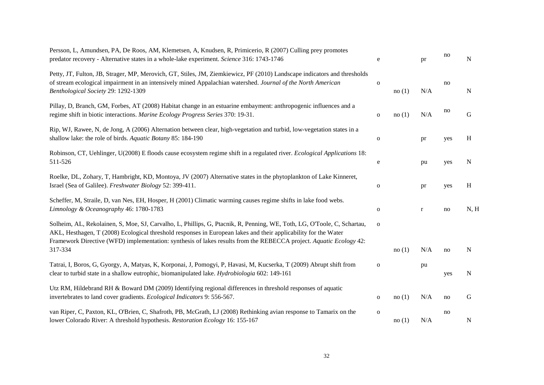| Persson, L, Amundsen, PA, De Roos, AM, Klemetsen, A, Knudsen, R, Primicerio, R (2007) Culling prey promotes<br>predator recovery - Alternative states in a whole-lake experiment. Science 316: 1743-1746                                                                                                                                                         | e            |       | pr          | no  | N    |
|------------------------------------------------------------------------------------------------------------------------------------------------------------------------------------------------------------------------------------------------------------------------------------------------------------------------------------------------------------------|--------------|-------|-------------|-----|------|
| Petty, JT, Fulton, JB, Strager, MP, Merovich, GT, Stiles, JM, Ziemkiewicz, PF (2010) Landscape indicators and thresholds<br>of stream ecological impairment in an intensively mined Appalachian watershed. Journal of the North American<br>Benthological Society 29: 1292-1309                                                                                  | $\mathbf{o}$ | no(1) | N/A         | no  | N    |
| Pillay, D, Branch, GM, Forbes, AT (2008) Habitat change in an estuarine embayment: anthropogenic influences and a<br>regime shift in biotic interactions. Marine Ecology Progress Series 370: 19-31.                                                                                                                                                             | $\mathbf{o}$ | no(1) | N/A         | no  | G    |
| Rip, WJ, Rawee, N, de Jong, A (2006) Alternation between clear, high-vegetation and turbid, low-vegetation states in a<br>shallow lake: the role of birds. Aquatic Botany 85: 184-190                                                                                                                                                                            | $\mathbf{o}$ |       | pr          | yes | H    |
| Robinson, CT, Uehlinger, U(2008) E floods cause ecosystem regime shift in a regulated river. Ecological Applications 18:<br>511-526                                                                                                                                                                                                                              | e            |       | pu          | yes | N    |
| Roelke, DL, Zohary, T, Hambright, KD, Montoya, JV (2007) Alternative states in the phytoplankton of Lake Kinneret,<br>Israel (Sea of Galilee). Freshwater Biology 52: 399-411.                                                                                                                                                                                   | $\mathbf{O}$ |       | pr          | yes | H    |
| Scheffer, M, Straile, D, van Nes, EH, Hosper, H (2001) Climatic warming causes regime shifts in lake food webs.<br>Limnology & Oceanography 46: 1780-1783                                                                                                                                                                                                        | $\mathbf{o}$ |       | $\mathbf r$ | no  | N, H |
| Solheim, AL, Rekolainen, S, Moe, SJ, Carvalho, L, Phillips, G, Ptacnik, R, Penning, WE, Toth, LG, O'Toole, C, Schartau,<br>AKL, Hesthagen, T (2008) Ecological threshold responses in European lakes and their applicability for the Water<br>Framework Directive (WFD) implementation: synthesis of lakes results from the REBECCA project. Aquatic Ecology 42: | $\mathbf 0$  |       |             |     |      |
| 317-334                                                                                                                                                                                                                                                                                                                                                          |              | no(1) | N/A         | no  | N    |
| Tatrai, I, Boros, G, Gyorgy, A, Matyas, K, Korponai, J, Pomogyi, P, Havasi, M, Kucserka, T (2009) Abrupt shift from<br>clear to turbid state in a shallow eutrophic, biomanipulated lake. <i>Hydrobiologia</i> 602: 149-161                                                                                                                                      | $\mathbf 0$  |       | pu          | yes | N    |
| Utz RM, Hildebrand RH & Boward DM (2009) Identifying regional differences in threshold responses of aquatic<br>invertebrates to land cover gradients. Ecological Indicators 9: 556-567.                                                                                                                                                                          | $\mathbf{o}$ | no(1) | N/A         | no  | G    |
| van Riper, C, Paxton, KL, O'Brien, C, Shafroth, PB, McGrath, LJ (2008) Rethinking avian response to Tamarix on the<br>lower Colorado River: A threshold hypothesis. Restoration Ecology 16: 155-167                                                                                                                                                              | $\mathbf{O}$ | no(1) | N/A         | no  | N    |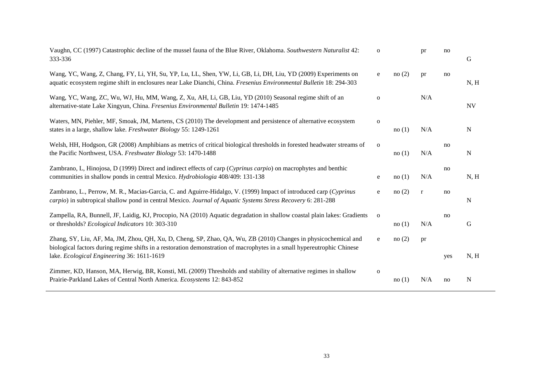| Vaughn, CC (1997) Catastrophic decline of the mussel fauna of the Blue River, Oklahoma. Southwestern Naturalist 42:<br>333-336                                                                                                            | $\mathbf{O}$ |       | pr           | no  | G           |
|-------------------------------------------------------------------------------------------------------------------------------------------------------------------------------------------------------------------------------------------|--------------|-------|--------------|-----|-------------|
| Wang, YC, Wang, Z, Chang, FY, Li, YH, Su, YP, Lu, LL, Shen, YW, Li, GB, Li, DH, Liu, YD (2009) Experiments on<br>aquatic ecosystem regime shift in enclosures near Lake Dianchi, China. Fresenius Environmental Bulletin 18: 294-303      | ${\bf e}$    | no(2) | pr           | no  | N, H        |
| Wang, YC, Wang, ZC, Wu, WJ, Hu, MM, Wang, Z, Xu, AH, Li, GB, Liu, YD (2010) Seasonal regime shift of an<br>alternative-state Lake Xingyun, China. Fresenius Environmental Bulletin 19: 1474-1485                                          | $\mathbf 0$  |       | N/A          |     | <b>NV</b>   |
| Waters, MN, Piehler, MF, Smoak, JM, Martens, CS (2010) The development and persistence of alternative ecosystem<br>states in a large, shallow lake. Freshwater Biology 55: 1249-1261                                                      | $\mathbf{O}$ | no(1) | N/A          |     | $\mathbf N$ |
| Welsh, HH, Hodgson, GR (2008) Amphibians as metrics of critical biological thresholds in forested headwater streams of<br>the Pacific Northwest, USA. Freshwater Biology 53: 1470-1488                                                    | $\mathbf 0$  | no(1) | N/A          | no  | N           |
| Zambrano, L, Hinojosa, D (1999) Direct and indirect effects of carp (Cyprinus carpio) on macrophytes and benthic<br>communities in shallow ponds in central Mexico. Hydrobiologia 408/409: 131-138                                        | ${\bf e}$    | no(1) | N/A          | no  | N, H        |
| Zambrano, L., Perrow, M. R., Macias-Garcia, C. and Aguirre-Hidalgo, V. (1999) Impact of introduced carp (Cyprinus<br>carpio) in subtropical shallow pond in central Mexico. Journal of Aquatic Systems Stress Recovery 6: 281-288         | e            | no(2) | $\mathbf{r}$ | no  | N           |
| Zampella, RA, Bunnell, JF, Laidig, KJ, Procopio, NA (2010) Aquatic degradation in shallow coastal plain lakes: Gradients<br>or thresholds? Ecological Indicators 10: 303-310                                                              | $\mathbf 0$  | no(1) | N/A          | no  | G           |
| Zhang, SY, Liu, AF, Ma, JM, Zhou, QH, Xu, D, Cheng, SP, Zhao, QA, Wu, ZB (2010) Changes in physicochemical and<br>biological factors during regime shifts in a restoration demonstration of macrophytes in a small hypereutrophic Chinese | e            | no(2) | pr           |     |             |
| lake. Ecological Engineering 36: 1611-1619                                                                                                                                                                                                |              |       |              | yes | N, H        |
| Zimmer, KD, Hanson, MA, Herwig, BR, Konsti, ML (2009) Thresholds and stability of alternative regimes in shallow<br>Prairie-Parkland Lakes of Central North America. Ecosystems 12: 843-852                                               | $\mathbf 0$  | no(1) | N/A          | no  | N           |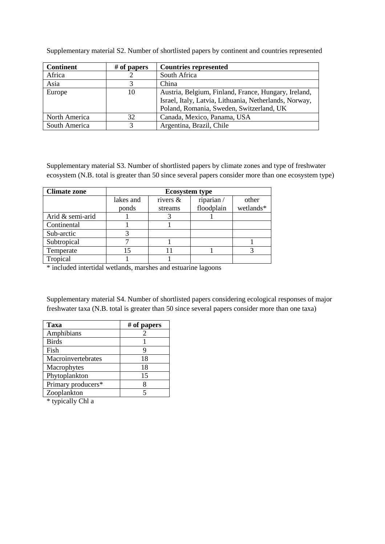Supplementary material S2. Number of shortlisted papers by continent and countries represented

| <b>Continent</b> | $#$ of papers | <b>Countries represented</b>                           |
|------------------|---------------|--------------------------------------------------------|
| Africa           |               | South Africa                                           |
| Asia             |               | China                                                  |
| Europe           | 10            | Austria, Belgium, Finland, France, Hungary, Ireland,   |
|                  |               | Israel, Italy, Latvia, Lithuania, Netherlands, Norway, |
|                  |               | Poland, Romania, Sweden, Switzerland, UK               |
| North America    | 32            | Canada, Mexico, Panama, USA                            |
| South America    |               | Argentina, Brazil, Chile                               |

Supplementary material S3. Number of shortlisted papers by climate zones and type of freshwater ecosystem (N.B. total is greater than 50 since several papers consider more than one ecosystem type)

| <b>Climate zone</b> | <b>Ecosystem type</b> |             |            |           |  |  |  |
|---------------------|-----------------------|-------------|------------|-----------|--|--|--|
|                     | lakes and             | rivers $\&$ | riparian/  | other     |  |  |  |
|                     | ponds                 | streams     | floodplain | wetlands* |  |  |  |
| Arid & semi-arid    |                       |             |            |           |  |  |  |
| Continental         |                       |             |            |           |  |  |  |
| Sub-arctic          |                       |             |            |           |  |  |  |
| Subtropical         |                       |             |            |           |  |  |  |
| Temperate           |                       |             |            |           |  |  |  |
| Tropical            |                       |             |            |           |  |  |  |

\* included intertidal wetlands, marshes and estuarine lagoons

Supplementary material S4. Number of shortlisted papers considering ecological responses of major freshwater taxa (N.B. total is greater than 50 since several papers consider more than one taxa)

| Taxa               | $#$ of papers |
|--------------------|---------------|
| Amphibians         |               |
| <b>Birds</b>       |               |
| Fish               | Q             |
| Macroinvertebrates | 18            |
| Macrophytes        | 18            |
| Phytoplankton      | 15            |
| Primary producers* | 8             |
| Zooplankton        |               |
|                    |               |

\* typically Chl a